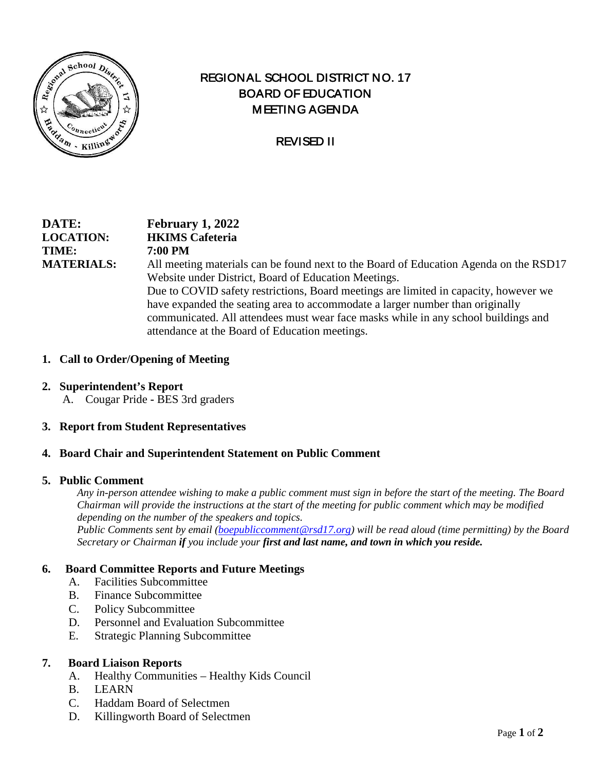

# REGIONAL SCHOOL DISTRICT NO. 17 BOARD OF EDUCATION MEETING AGENDA

# REVISED II

## **DATE: February 1, 2022 LOCATION: HKIMS Cafeteria TIME: 7:00 PM MATERIALS:** All meeting materials can be found next to the Board of Education Agenda on the RSD17 Website under District, Board of Education Meetings. Due to COVID safety restrictions, Board meetings are limited in capacity, however we have expanded the seating area to accommodate a larger number than originally communicated. All attendees must wear face masks while in any school buildings and attendance at the Board of Education meetings.

### **1. Call to Order/Opening of Meeting**

- **2. Superintendent's Report**
	- A. Cougar Pride **-** BES 3rd graders

#### **3. Report from Student Representatives**

#### **4. Board Chair and Superintendent Statement on Public Comment**

#### **5. Public Comment**

*Any in-person attendee wishing to make a public comment must sign in before the start of the meeting. The Board Chairman will provide the instructions at the start of the meeting for public comment which may be modified depending on the number of the speakers and topics.*

*Public Comments sent by email [\(boepubliccomment@rsd17.org\)](mailto:boepubliccomment@rsd17.org) will be read aloud (time permitting) by the Board Secretary or Chairman if you include your first and last name, and town in which you reside.* 

#### **6. Board Committee Reports and Future Meetings**

- A. Facilities Subcommittee
- B. Finance Subcommittee
- C. Policy Subcommittee
- D. Personnel and Evaluation Subcommittee
- E. Strategic Planning Subcommittee

#### **7. Board Liaison Reports**

- A. Healthy Communities Healthy Kids Council
- B. LEARN
- C. Haddam Board of Selectmen
- D. Killingworth Board of Selectmen